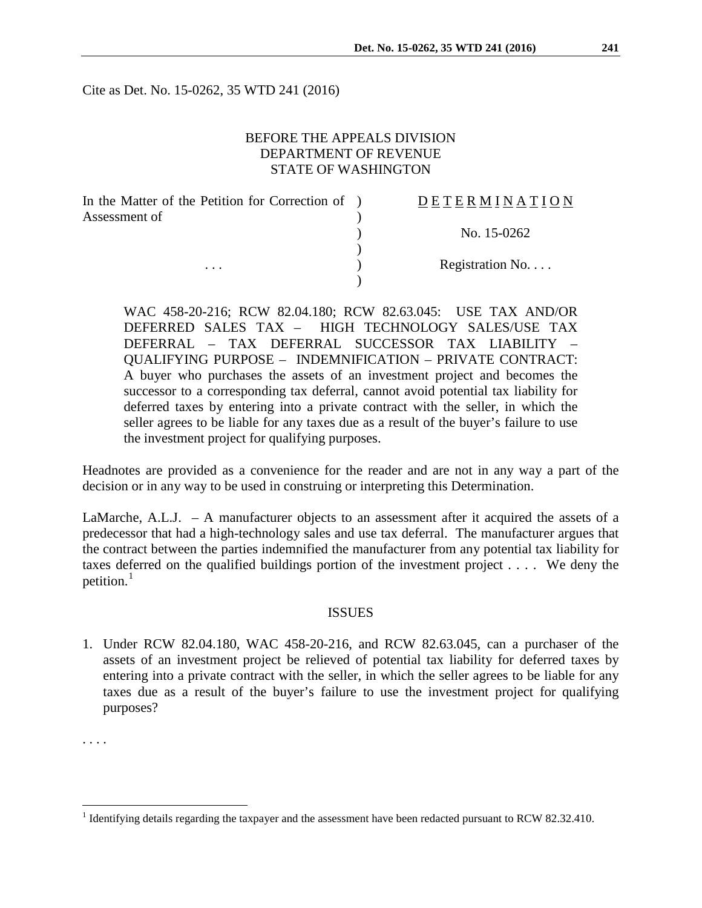Cite as Det. No. 15-0262, 35 WTD 241 (2016)

# BEFORE THE APPEALS DIVISION DEPARTMENT OF REVENUE STATE OF WASHINGTON

| In the Matter of the Petition for Correction of ) | DETERMINATION             |
|---------------------------------------------------|---------------------------|
| Assessment of                                     |                           |
|                                                   | No. 15-0262               |
|                                                   |                           |
| $\cdots$                                          | Registration $No. \ldots$ |
|                                                   |                           |

WAC 458-20-216; RCW 82.04.180; RCW 82.63.045: USE TAX AND/OR DEFERRED SALES TAX – HIGH TECHNOLOGY SALES/USE TAX DEFERRAL – TAX DEFERRAL SUCCESSOR TAX LIABILITY – QUALIFYING PURPOSE – INDEMNIFICATION – PRIVATE CONTRACT: A buyer who purchases the assets of an investment project and becomes the successor to a corresponding tax deferral, cannot avoid potential tax liability for deferred taxes by entering into a private contract with the seller, in which the seller agrees to be liable for any taxes due as a result of the buyer's failure to use the investment project for qualifying purposes.

Headnotes are provided as a convenience for the reader and are not in any way a part of the decision or in any way to be used in construing or interpreting this Determination.

LaMarche, A.L.J. – A manufacturer objects to an assessment after it acquired the assets of a predecessor that had a high-technology sales and use tax deferral. The manufacturer argues that the contract between the parties indemnified the manufacturer from any potential tax liability for taxes deferred on the qualified buildings portion of the investment project . . . . We deny the petition. $<sup>1</sup>$  $<sup>1</sup>$  $<sup>1</sup>$ </sup>

## ISSUES

1. Under RCW 82.04.180, WAC 458-20-216, and RCW 82.63.045, can a purchaser of the assets of an investment project be relieved of potential tax liability for deferred taxes by entering into a private contract with the seller, in which the seller agrees to be liable for any taxes due as a result of the buyer's failure to use the investment project for qualifying purposes?

. . . .

<span id="page-0-0"></span><sup>&</sup>lt;sup>1</sup> Identifying details regarding the taxpayer and the assessment have been redacted pursuant to RCW 82.32.410.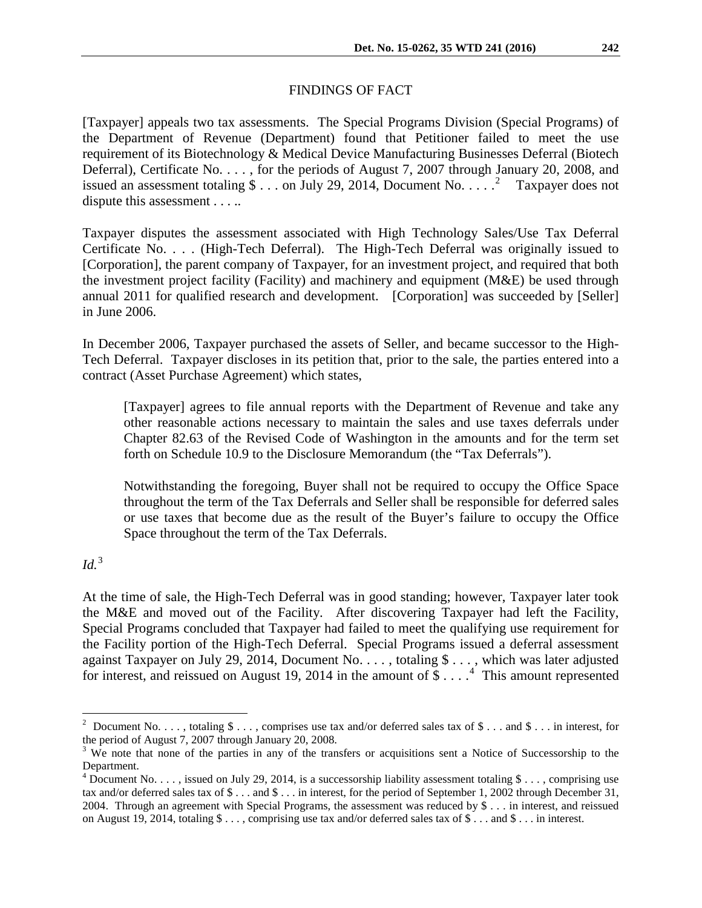#### FINDINGS OF FACT

[Taxpayer] appeals two tax assessments. The Special Programs Division (Special Programs) of the Department of Revenue (Department) found that Petitioner failed to meet the use requirement of its Biotechnology & Medical Device Manufacturing Businesses Deferral (Biotech Deferral), Certificate No. . . . , for the periods of August 7, 2007 through January 20, 2008, and issued an assessment totaling  $\frac{1}{2}$  $\frac{1}{2}$  $\frac{1}{2}$ ... on July 29, 2014, Document No....<sup>2</sup> Taxpayer does not dispute this assessment . . . . .

Taxpayer disputes the assessment associated with High Technology Sales/Use Tax Deferral Certificate No. . . . (High-Tech Deferral). The High-Tech Deferral was originally issued to [Corporation], the parent company of Taxpayer, for an investment project, and required that both the investment project facility (Facility) and machinery and equipment (M&E) be used through annual 2011 for qualified research and development. [Corporation] was succeeded by [Seller] in June 2006.

In December 2006, Taxpayer purchased the assets of Seller, and became successor to the High-Tech Deferral. Taxpayer discloses in its petition that, prior to the sale, the parties entered into a contract (Asset Purchase Agreement) which states,

[Taxpayer] agrees to file annual reports with the Department of Revenue and take any other reasonable actions necessary to maintain the sales and use taxes deferrals under Chapter 82.63 of the Revised Code of Washington in the amounts and for the term set forth on Schedule 10.9 to the Disclosure Memorandum (the "Tax Deferrals").

Notwithstanding the foregoing, Buyer shall not be required to occupy the Office Space throughout the term of the Tax Deferrals and Seller shall be responsible for deferred sales or use taxes that become due as the result of the Buyer's failure to occupy the Office Space throughout the term of the Tax Deferrals.

*Id.*[3](#page-1-1)

At the time of sale, the High-Tech Deferral was in good standing; however, Taxpayer later took the M&E and moved out of the Facility. After discovering Taxpayer had left the Facility, Special Programs concluded that Taxpayer had failed to meet the qualifying use requirement for the Facility portion of the High-Tech Deferral. Special Programs issued a deferral assessment against Taxpayer on July 29, 2014, Document No. . . . , totaling \$ . . . , which was later adjusted for interest, and reissued on August 19, 201[4](#page-1-2) in the amount of \$....<sup>4</sup> This amount represented

<span id="page-1-0"></span> $\frac{1}{2}$ <sup>2</sup> Document No. [.](http://dorappsprod/ACMS/TarisDetail.aspx?id=201501388) . . , totaling \$ . . . , comprises use tax and/or deferred sales tax of \$ . . . and \$ . . . in interest, for the period of August 7, 2007 through January 20, 2008.

<span id="page-1-1"></span> $3$  We note that none of the parties in any of the transfers or acquisitions sent a Notice of Successorship to the Department.

<span id="page-1-2"></span> $4$  Document No. . . . , issued on July 29, 2014, is a successorship liability assessment totaling \$ . . . , comprising use tax and/or deferred sales tax of \$ . . . and \$ . . . in interest, for the period of September 1, 2002 through December 31, 2004. Through an agreement with Special Programs, the assessment was reduced by \$ . . . in interest, and reissued on August 19, 2014, totaling \$ . . . , comprising use tax and/or deferred sales tax of \$ . . . and \$ . . . in interest.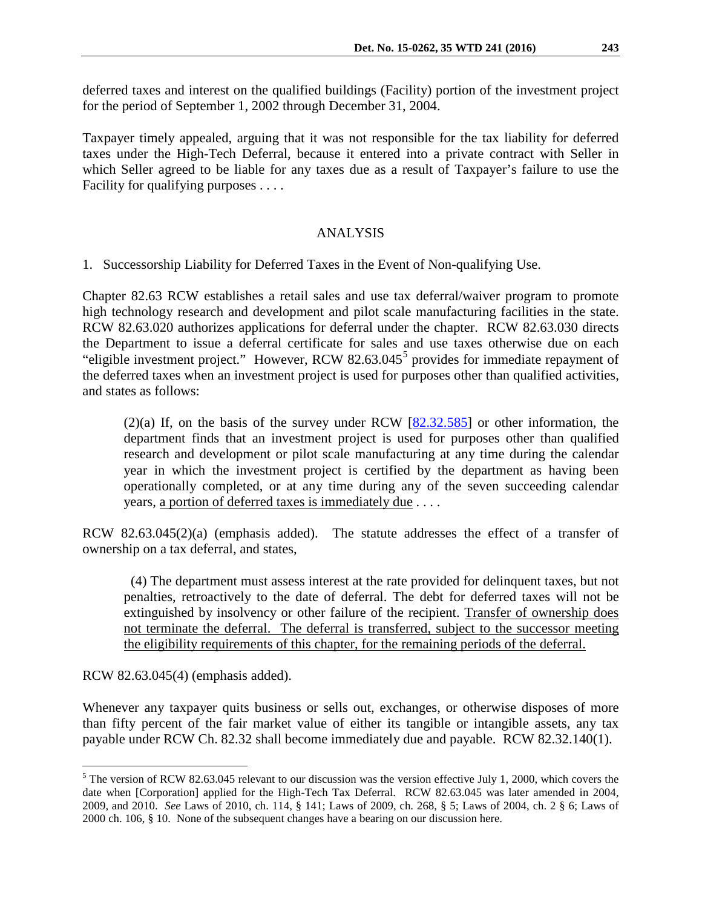deferred taxes and interest on the qualified buildings (Facility) portion of the investment project for the period of September 1, 2002 through December 31, 2004.

Taxpayer timely appealed, arguing that it was not responsible for the tax liability for deferred taxes under the High-Tech Deferral, because it entered into a private contract with Seller in which Seller agreed to be liable for any taxes due as a result of Taxpayer's failure to use the Facility for qualifying purposes . . . .

## ANALYSIS

1. Successorship Liability for Deferred Taxes in the Event of Non-qualifying Use.

Chapter 82.63 RCW establishes a retail sales and use tax deferral/waiver program to promote high technology research and development and pilot scale manufacturing facilities in the state. RCW 82.63.020 authorizes applications for deferral under the chapter. RCW 82.63.030 directs the Department to issue a deferral certificate for sales and use taxes otherwise due on each "eligible investment project." However, RCW  $82.63.045<sup>5</sup>$  $82.63.045<sup>5</sup>$  $82.63.045<sup>5</sup>$  provides for immediate repayment of the deferred taxes when an investment project is used for purposes other than qualified activities, and states as follows:

(2)(a) If, on the basis of the survey under RCW [\[82.32.585\]](http://apps.leg.wa.gov/rcw/default.aspx?cite=82.32.585) or other information, the department finds that an investment project is used for purposes other than qualified research and development or pilot scale manufacturing at any time during the calendar year in which the investment project is certified by the department as having been operationally completed, or at any time during any of the seven succeeding calendar years, a portion of deferred taxes is immediately due . . . .

RCW 82.63.045(2)(a) (emphasis added). The statute addresses the effect of a transfer of ownership on a tax deferral, and states,

(4) The department must assess interest at the rate provided for delinquent taxes, but not penalties, retroactively to the date of deferral. The debt for deferred taxes will not be extinguished by insolvency or other failure of the recipient. Transfer of ownership does not terminate the deferral. The deferral is transferred, subject to the successor meeting the eligibility requirements of this chapter, for the remaining periods of the deferral.

RCW 82.63.045(4) (emphasis added).

Whenever any taxpayer quits business or sells out, exchanges, or otherwise disposes of more than fifty percent of the fair market value of either its tangible or intangible assets, any tax payable under RCW Ch. 82.32 shall become immediately due and payable. RCW 82.32.140(1).

<span id="page-2-0"></span> $5$  The version of RCW 82.63.045 relevant to our discussion was the version effective July 1, 2000, which covers the date when [Corporation] applied for the High-Tech Tax Deferral. RCW 82.63.045 was later amended in 2004, 2009, and 2010. *See* Laws of 2010, ch. 114, § 141; Laws of 2009, ch. 268, § 5; Laws of 2004, ch. 2 § 6; Laws of 2000 ch. 106, § 10. None of the subsequent changes have a bearing on our discussion here.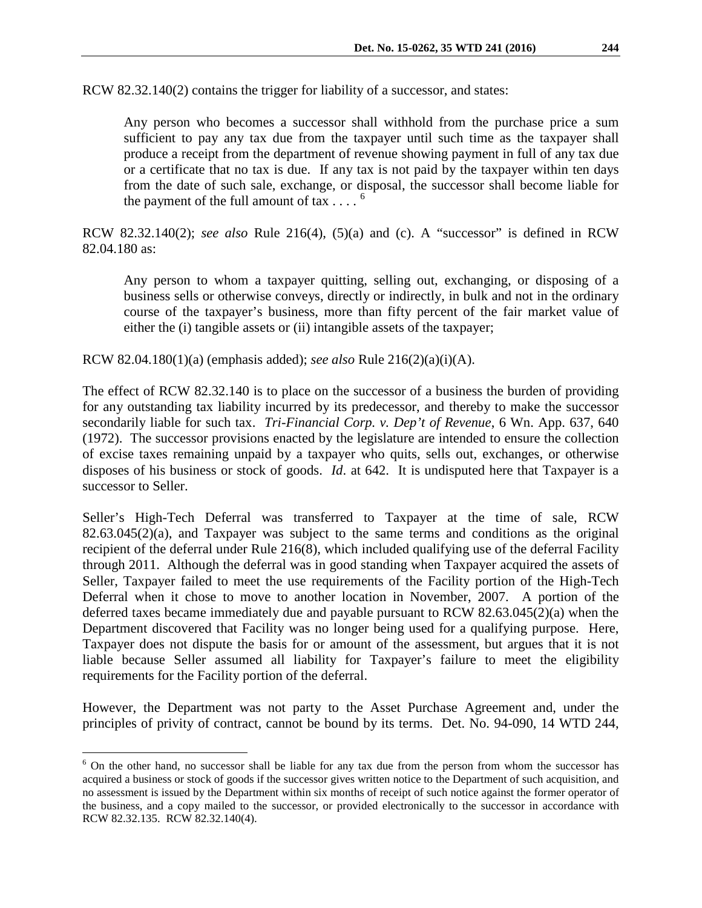RCW 82.32.140(2) contains the trigger for liability of a successor, and states:

Any person who becomes a successor shall withhold from the purchase price a sum sufficient to pay any tax due from the taxpayer until such time as the taxpayer shall produce a receipt from the department of revenue showing payment in full of any tax due or a certificate that no tax is due. If any tax is not paid by the taxpayer within ten days from the date of such sale, exchange, or disposal, the successor shall become liable for the payment of the full amount of tax  $\ldots$ <sup>[6](#page-3-0)</sup>

RCW 82.32.140(2); *see also* Rule 216(4), (5)(a) and (c). A "successor" is defined in RCW 82.04.180 as:

Any person to whom a taxpayer quitting, selling out, exchanging, or disposing of a business sells or otherwise conveys, directly or indirectly, in bulk and not in the ordinary course of the taxpayer's business, more than fifty percent of the fair market value of either the (i) tangible assets or (ii) intangible assets of the taxpayer;

RCW 82.04.180(1)(a) (emphasis added); *see also* Rule 216(2)(a)(i)(A).

The effect of RCW 82.32.140 is to place on the successor of a business the burden of providing for any outstanding tax liability incurred by its predecessor, and thereby to make the successor secondarily liable for such tax. *Tri-Financial Corp. v. Dep't of Revenue*, 6 Wn. App. 637, 640 (1972). The successor provisions enacted by the legislature are intended to ensure the collection of excise taxes remaining unpaid by a taxpayer who quits, sells out, exchanges, or otherwise disposes of his business or stock of goods. *Id*. at 642. It is undisputed here that Taxpayer is a successor to Seller.

Seller's High-Tech Deferral was transferred to Taxpayer at the time of sale, RCW 82.63.045(2)(a), and Taxpayer was subject to the same terms and conditions as the original recipient of the deferral under Rule 216(8), which included qualifying use of the deferral Facility through 2011. Although the deferral was in good standing when Taxpayer acquired the assets of Seller, Taxpayer failed to meet the use requirements of the Facility portion of the High-Tech Deferral when it chose to move to another location in November, 2007. A portion of the deferred taxes became immediately due and payable pursuant to RCW 82.63.045(2)(a) when the Department discovered that Facility was no longer being used for a qualifying purpose. Here, Taxpayer does not dispute the basis for or amount of the assessment, but argues that it is not liable because Seller assumed all liability for Taxpayer's failure to meet the eligibility requirements for the Facility portion of the deferral.

However, the Department was not party to the Asset Purchase Agreement and, under the principles of privity of contract, cannot be bound by its terms. Det. No. 94-090, 14 WTD 244,

<span id="page-3-0"></span><sup>&</sup>lt;sup>6</sup> On the other hand, no successor shall be liable for any tax due from the person from whom the successor has acquired a business or stock of goods if the successor gives written notice to the Department of such acquisition, and no assessment is issued by the Department within six months of receipt of such notice against the former operator of the business, and a copy mailed to the successor, or provided electronically to the successor in accordance with RCW 82.32.135. RCW 82.32.140(4).